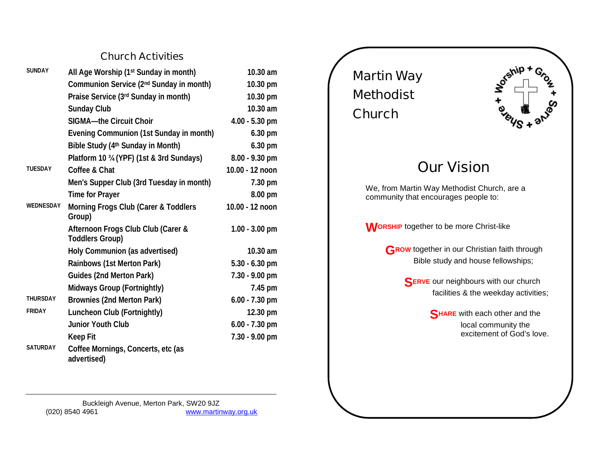## **Church Activities**

| <b>SUNDAY</b>   | All Age Worship (1 <sup>st</sup> Sunday in month)            | 10.30 am         |
|-----------------|--------------------------------------------------------------|------------------|
|                 | Communion Service (2 <sup>nd</sup> Sunday in month)          | 10.30 pm         |
|                 | Praise Service (3rd Sunday in month)                         | 10.30 pm         |
|                 | <b>Sunday Club</b>                                           | 10.30 am         |
|                 | SIGMA-the Circuit Choir                                      | $4.00 - 5.30$ pm |
|                 | Evening Communion (1st Sunday in month)                      | 6.30 pm          |
|                 | Bible Study (4 <sup>th</sup> Sunday in Month)                | 6.30 pm          |
|                 | Platform 10 34 (YPF) (1st & 3rd Sundays)                     | 8.00 - 9.30 pm   |
| <b>TUESDAY</b>  | Coffee & Chat                                                | 10.00 - 12 noon  |
|                 | Men's Supper Club (3rd Tuesday in month)                     | 7.30 pm          |
|                 | Time for Prayer                                              | 8.00 pm          |
| WEDNESDAY       | Morning Frogs Club (Carer & Toddlers<br>Group)               | 10.00 - 12 noon  |
|                 | Afternoon Frogs Club Club (Carer &<br><b>Toddlers Group)</b> | $1.00 - 3.00$ pm |
|                 | Holy Communion (as advertised)                               | 10.30 am         |
|                 | Rainbows (1st Merton Park)                                   | $5.30 - 6.30$ pm |
|                 | Guides (2nd Merton Park)                                     | 7.30 - 9.00 pm   |
|                 | Midways Group (Fortnightly)                                  | 7.45 pm          |
| <b>THURSDAY</b> | Brownies (2nd Merton Park)                                   | $6.00 - 7.30$ pm |
| <b>FRIDAY</b>   | Luncheon Club (Fortnightly)                                  | 12.30 pm         |
|                 | <b>Junior Youth Club</b>                                     | $6.00 - 7.30$ pm |
|                 | <b>Keep Fit</b>                                              | 7.30 - 9.00 pm   |
| <b>SATURDAY</b> | Coffee Mornings, Concerts, etc (as<br>advertised)            |                  |

Buckleigh Avenue, Merton Park, SW20 9JZ<br>www.martir www.martinway.org.uk **Martin Way Methodist Church**

 $\textbf{S}^{\text{gship}}$ 

## **Our Vision**

We, from Martin Way Methodist Church, are a community that encourages people to:

**WORSHIP** together to be more Christ-like

**GROW** together in our Christian faith through Bible study and house fellowships;

> **SERVE** our neighbours with our church facilities & the weekday activities;

> > **SHARE** with each other and the local community the excitement of God's love.